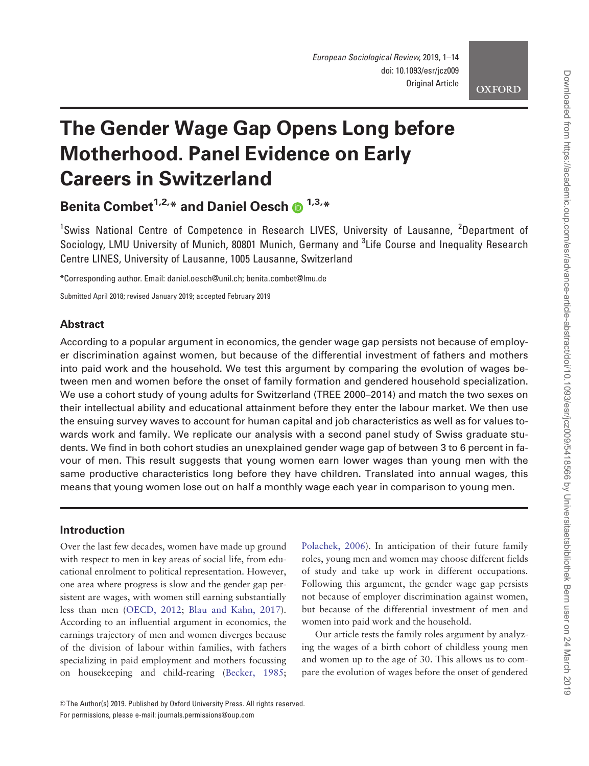# The Gender Wage Gap Opens Long before Motherhood. Panel Evidence on Early Careers in Switzerland

Benita Combet<sup>1,2,\*</sup> and Daniel Oesch  $\bullet$ <sup>1,3,\*</sup>

<sup>1</sup>Swiss National Centre of Competence in Research LIVES, University of Lausanne, <sup>2</sup>Department of Sociology, LMU University of Munich, 80801 Munich, Germany and <sup>3</sup>Life Course and Inequality Research Centre LINES, University of Lausanne, 1005 Lausanne, Switzerland

\*Corresponding author. Email: daniel.oesch@unil.ch; benita.combet@lmu.de

Submitted April 2018; revised January 2019; accepted February 2019

# Abstract

According to a popular argument in economics, the gender wage gap persists not because of employer discrimination against women, but because of the differential investment of fathers and mothers into paid work and the household. We test this argument by comparing the evolution of wages between men and women before the onset of family formation and gendered household specialization. We use a cohort study of young adults for Switzerland (TREE 2000–2014) and match the two sexes on their intellectual ability and educational attainment before they enter the labour market. We then use the ensuing survey waves to account for human capital and job characteristics as well as for values towards work and family. We replicate our analysis with a second panel study of Swiss graduate students. We find in both cohort studies an unexplained gender wage gap of between 3 to 6 percent in favour of men. This result suggests that young women earn lower wages than young men with the same productive characteristics long before they have children. Translated into annual wages, this means that young women lose out on half a monthly wage each year in comparison to young men.

# Introduction

Over the last few decades, women have made up ground with respect to men in key areas of social life, from educational enrolment to political representation. However, one area where progress is slow and the gender gap persistent are wages, with women still earning substantially less than men ([OECD, 2012](#page-12-0); [Blau and Kahn, 2017](#page-11-0)). According to an influential argument in economics, the earnings trajectory of men and women diverges because of the division of labour within families, with fathers specializing in paid employment and mothers focussing on housekeeping and child-rearing [\(Becker, 1985](#page-11-0);

[Polachek, 2006](#page-12-0)). In anticipation of their future family roles, young men and women may choose different fields of study and take up work in different occupations. Following this argument, the gender wage gap persists not because of employer discrimination against women, but because of the differential investment of men and women into paid work and the household.

Our article tests the family roles argument by analyzing the wages of a birth cohort of childless young men and women up to the age of 30. This allows us to compare the evolution of wages before the onset of gendered

<sup>©</sup> The Author(s) 2019. Published by Oxford University Press. All rights reserved. For permissions, please e-mail: journals.permissions@oup.com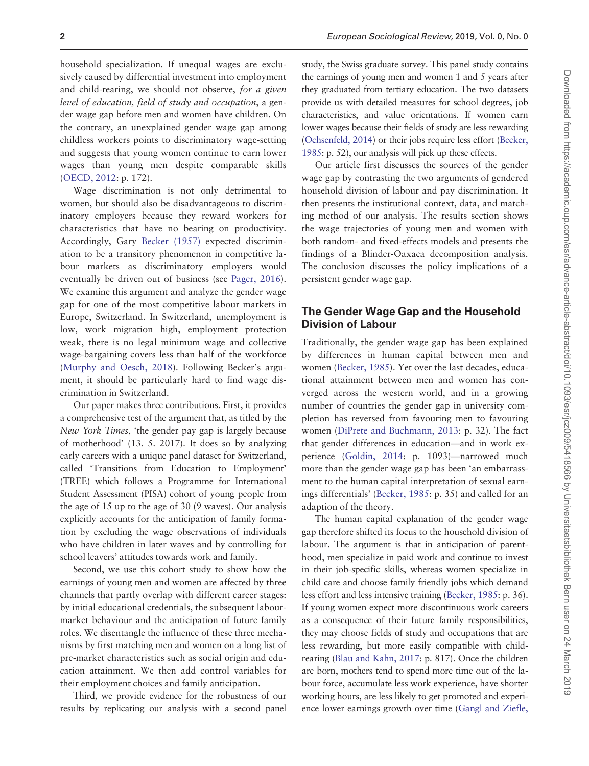household specialization. If unequal wages are exclusively caused by differential investment into employment and child-rearing, we should not observe, for a given level of education, field of study and occupation, a gender wage gap before men and women have children. On the contrary, an unexplained gender wage gap among childless workers points to discriminatory wage-setting and suggests that young women continue to earn lower wages than young men despite comparable skills [\(OECD, 2012:](#page-12-0) p. 172).

Wage discrimination is not only detrimental to women, but should also be disadvantageous to discriminatory employers because they reward workers for characteristics that have no bearing on productivity. Accordingly, Gary [Becker \(1957\)](#page-11-0) expected discrimination to be a transitory phenomenon in competitive labour markets as discriminatory employers would eventually be driven out of business (see [Pager, 2016](#page-12-0)). We examine this argument and analyze the gender wage gap for one of the most competitive labour markets in Europe, Switzerland. In Switzerland, unemployment is low, work migration high, employment protection weak, there is no legal minimum wage and collective wage-bargaining covers less than half of the workforce [\(Murphy and Oesch, 2018](#page-12-0)). Following Becker's argument, it should be particularly hard to find wage discrimination in Switzerland.

Our paper makes three contributions. First, it provides a comprehensive test of the argument that, as titled by the New York Times, 'the gender pay gap is largely because of motherhood' (13. 5. 2017). It does so by analyzing early careers with a unique panel dataset for Switzerland, called 'Transitions from Education to Employment' (TREE) which follows a Programme for International Student Assessment (PISA) cohort of young people from the age of 15 up to the age of 30 (9 waves). Our analysis explicitly accounts for the anticipation of family formation by excluding the wage observations of individuals who have children in later waves and by controlling for school leavers' attitudes towards work and family.

Second, we use this cohort study to show how the earnings of young men and women are affected by three channels that partly overlap with different career stages: by initial educational credentials, the subsequent labourmarket behaviour and the anticipation of future family roles. We disentangle the influence of these three mechanisms by first matching men and women on a long list of pre-market characteristics such as social origin and education attainment. We then add control variables for their employment choices and family anticipation.

Third, we provide evidence for the robustness of our results by replicating our analysis with a second panel

study, the Swiss graduate survey. This panel study contains the earnings of young men and women 1 and 5 years after they graduated from tertiary education. The two datasets provide us with detailed measures for school degrees, job characteristics, and value orientations. If women earn lower wages because their fields of study are less rewarding [\(Ochsenfeld, 2014](#page-12-0)) or their jobs require less effort ([Becker,](#page-11-0) [1985:](#page-11-0) p. 52), our analysis will pick up these effects.

Our article first discusses the sources of the gender wage gap by contrasting the two arguments of gendered household division of labour and pay discrimination. It then presents the institutional context, data, and matching method of our analysis. The results section shows the wage trajectories of young men and women with both random- and fixed-effects models and presents the findings of a Blinder-Oaxaca decomposition analysis. The conclusion discusses the policy implications of a persistent gender wage gap.

# The Gender Wage Gap and the Household Division of Labour

Traditionally, the gender wage gap has been explained by differences in human capital between men and women ([Becker, 1985\)](#page-11-0). Yet over the last decades, educational attainment between men and women has converged across the western world, and in a growing number of countries the gender gap in university completion has reversed from favouring men to favouring women [\(DiPrete and Buchmann, 2013](#page-11-0): p. 32). The fact that gender differences in education—and in work experience ([Goldin, 2014:](#page-12-0) p. 1093)—narrowed much more than the gender wage gap has been 'an embarrassment to the human capital interpretation of sexual earnings differentials' [\(Becker, 1985:](#page-11-0) p. 35) and called for an adaption of the theory.

The human capital explanation of the gender wage gap therefore shifted its focus to the household division of labour. The argument is that in anticipation of parenthood, men specialize in paid work and continue to invest in their job-specific skills, whereas women specialize in child care and choose family friendly jobs which demand less effort and less intensive training [\(Becker, 1985:](#page-11-0) p. 36). If young women expect more discontinuous work careers as a consequence of their future family responsibilities, they may choose fields of study and occupations that are less rewarding, but more easily compatible with childrearing [\(Blau and Kahn, 2017:](#page-11-0) p. 817). Once the children are born, mothers tend to spend more time out of the labour force, accumulate less work experience, have shorter working hours, are less likely to get promoted and experience lower earnings growth over time [\(Gangl and Ziefle,](#page-11-0)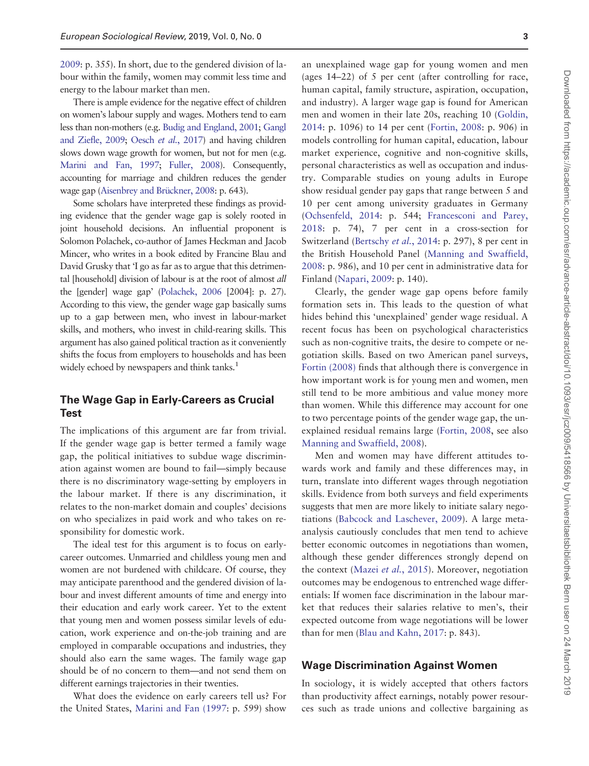[2009:](#page-11-0) p. 355). In short, due to the gendered division of labour within the family, women may commit less time and energy to the labour market than men.

There is ample evidence for the negative effect of children on women's labour supply and wages. Mothers tend to earn less than non-mothers (e.g. [Budig and England, 2001](#page-11-0); [Gangl](#page-11-0) [and Ziefle, 2009;](#page-11-0) Oesch et al.[, 2017\)](#page-12-0) and having children slows down wage growth for women, but not for men (e.g. [Marini and Fan, 1997;](#page-12-0) [Fuller, 2008](#page-11-0)). Consequently, accounting for marriage and children reduces the gender wage gap (Aisenbrey and Brückner, 2008: p. 643).

Some scholars have interpreted these findings as providing evidence that the gender wage gap is solely rooted in joint household decisions. An influential proponent is Solomon Polachek, co-author of James Heckman and Jacob Mincer, who writes in a book edited by Francine Blau and David Grusky that 'I go as far as to argue that this detrimental [household] division of labour is at the root of almost all the [gender] wage gap' [\(Polachek, 2006](#page-12-0) [2004]: p. 27). According to this view, the gender wage gap basically sums up to a gap between men, who invest in labour-market skills, and mothers, who invest in child-rearing skills. This argument has also gained political traction as it conveniently shifts the focus from employers to households and has been widely echoed by newspapers and think tanks.<sup>1</sup>

# The Wage Gap in Early-Careers as Crucial Test

The implications of this argument are far from trivial. If the gender wage gap is better termed a family wage gap, the political initiatives to subdue wage discrimination against women are bound to fail—simply because there is no discriminatory wage-setting by employers in the labour market. If there is any discrimination, it relates to the non-market domain and couples' decisions on who specializes in paid work and who takes on responsibility for domestic work.

The ideal test for this argument is to focus on earlycareer outcomes. Unmarried and childless young men and women are not burdened with childcare. Of course, they may anticipate parenthood and the gendered division of labour and invest different amounts of time and energy into their education and early work career. Yet to the extent that young men and women possess similar levels of education, work experience and on-the-job training and are employed in comparable occupations and industries, they should also earn the same wages. The family wage gap should be of no concern to them—and not send them on different earnings trajectories in their twenties.

What does the evidence on early careers tell us? For the United States, [Marini and Fan \(1997](#page-12-0): p. 599) show

an unexplained wage gap for young women and men (ages 14–22) of 5 per cent (after controlling for race, human capital, family structure, aspiration, occupation, and industry). A larger wage gap is found for American men and women in their late 20s, reaching 10 ([Goldin,](#page-12-0) [2014](#page-12-0): p. 1096) to 14 per cent ([Fortin, 2008](#page-11-0): p. 906) in models controlling for human capital, education, labour market experience, cognitive and non-cognitive skills, personal characteristics as well as occupation and industry. Comparable studies on young adults in Europe show residual gender pay gaps that range between 5 and 10 per cent among university graduates in Germany [\(Ochsenfeld, 2014:](#page-12-0) p. 544; [Francesconi and Parey,](#page-11-0) [2018](#page-11-0): p. 74), 7 per cent in a cross-section for Switzerland ([Bertschy](#page-11-0) et al., 2014: p. 297), 8 per cent in the British Household Panel ([Manning and Swaffield,](#page-12-0) [2008](#page-12-0): p. 986), and 10 per cent in administrative data for Finland [\(Napari, 2009:](#page-12-0) p. 140).

Clearly, the gender wage gap opens before family formation sets in. This leads to the question of what hides behind this 'unexplained' gender wage residual. A recent focus has been on psychological characteristics such as non-cognitive traits, the desire to compete or negotiation skills. Based on two American panel surveys, [Fortin \(2008\)](#page-11-0) finds that although there is convergence in how important work is for young men and women, men still tend to be more ambitious and value money more than women. While this difference may account for one to two percentage points of the gender wage gap, the unexplained residual remains large [\(Fortin, 2008,](#page-11-0) see also [Manning and Swaffield, 2008](#page-12-0)).

Men and women may have different attitudes towards work and family and these differences may, in turn, translate into different wages through negotiation skills. Evidence from both surveys and field experiments suggests that men are more likely to initiate salary negotiations [\(Babcock and Laschever, 2009](#page-11-0)). A large metaanalysis cautiously concludes that men tend to achieve better economic outcomes in negotiations than women, although these gender differences strongly depend on the context (Mazei et al.[, 2015\)](#page-12-0). Moreover, negotiation outcomes may be endogenous to entrenched wage differentials: If women face discrimination in the labour market that reduces their salaries relative to men's, their expected outcome from wage negotiations will be lower than for men ([Blau and Kahn, 2017](#page-11-0): p. 843).

# Wage Discrimination Against Women

In sociology, it is widely accepted that others factors than productivity affect earnings, notably power resources such as trade unions and collective bargaining as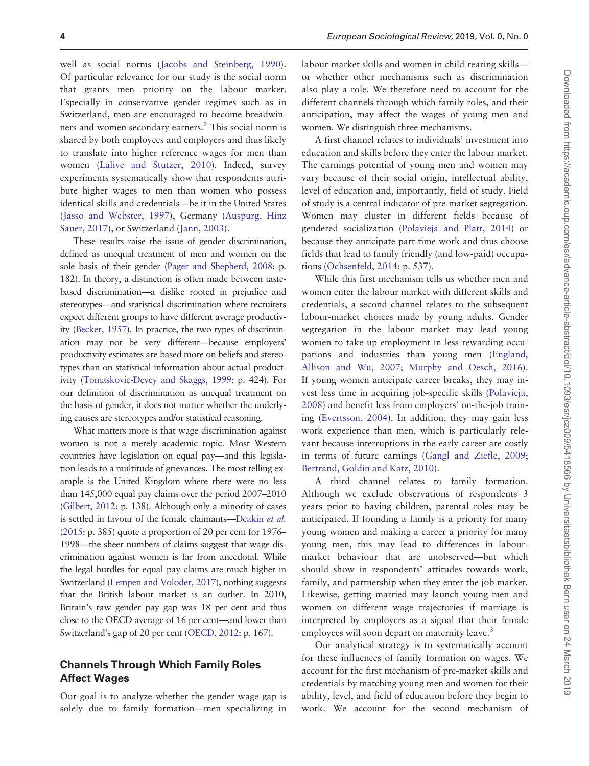well as social norms [\(Jacobs and Steinberg, 1990](#page-12-0)). Of particular relevance for our study is the social norm that grants men priority on the labour market. Especially in conservative gender regimes such as in Switzerland, men are encouraged to become breadwinners and women secondary earners.<sup>2</sup> This social norm is shared by both employees and employers and thus likely to translate into higher reference wages for men than women ([Lalive and Stutzer, 2010](#page-12-0)). Indeed, survey experiments systematically show that respondents attribute higher wages to men than women who possess identical skills and credentials—be it in the United States [\(Jasso and Webster, 1997](#page-12-0)), Germany ([Auspurg, Hinz](#page-11-0) [Sauer, 2017](#page-11-0)), or Switzerland ([Jann, 2003\)](#page-12-0).

These results raise the issue of gender discrimination, defined as unequal treatment of men and women on the sole basis of their gender [\(Pager and Shepherd, 2008:](#page-12-0) p. 182). In theory, a distinction is often made between tastebased discrimination—a dislike rooted in prejudice and stereotypes—and statistical discrimination where recruiters expect different groups to have different average productivity [\(Becker, 1957](#page-11-0)). In practice, the two types of discrimination may not be very different—because employers' productivity estimates are based more on beliefs and stereotypes than on statistical information about actual productivity [\(Tomaskovic-Devey and Skaggs, 1999:](#page-12-0) p. 424). For our definition of discrimination as unequal treatment on the basis of gender, it does not matter whether the underlying causes are stereotypes and/or statistical reasoning.

What matters more is that wage discrimination against women is not a merely academic topic. Most Western countries have legislation on equal pay—and this legislation leads to a multitude of grievances. The most telling example is the United Kingdom where there were no less than 145,000 equal pay claims over the period 2007–2010 [\(Gilbert, 2012:](#page-12-0) p. 138). Although only a minority of cases is settled in favour of the female claimants—[Deakin](#page-11-0) et al. [\(2015](#page-11-0): p. 385) quote a proportion of 20 per cent for 1976– 1998—the sheer numbers of claims suggest that wage discrimination against women is far from anecdotal. While the legal hurdles for equal pay claims are much higher in Switzerland [\(Lempen and Voloder, 2017](#page-12-0)), nothing suggests that the British labour market is an outlier. In 2010, Britain's raw gender pay gap was 18 per cent and thus close to the OECD average of 16 per cent—and lower than Switzerland's gap of 20 per cent ([OECD, 2012](#page-12-0): p. 167).

# Channels Through Which Family Roles Affect Wages

Our goal is to analyze whether the gender wage gap is solely due to family formation—men specializing in

labour-market skills and women in child-rearing skills or whether other mechanisms such as discrimination also play a role. We therefore need to account for the different channels through which family roles, and their anticipation, may affect the wages of young men and women. We distinguish three mechanisms.

A first channel relates to individuals' investment into education and skills before they enter the labour market. The earnings potential of young men and women may vary because of their social origin, intellectual ability, level of education and, importantly, field of study. Field of study is a central indicator of pre-market segregation. Women may cluster in different fields because of gendered socialization ([Polavieja and Platt, 2014](#page-12-0)) or because they anticipate part-time work and thus choose fields that lead to family friendly (and low-paid) occupations [\(Ochsenfeld, 2014:](#page-12-0) p. 537).

While this first mechanism tells us whether men and women enter the labour market with different skills and credentials, a second channel relates to the subsequent labour-market choices made by young adults. Gender segregation in the labour market may lead young women to take up employment in less rewarding occupations and industries than young men [\(England,](#page-11-0) [Allison and Wu, 2007](#page-11-0); [Murphy and Oesch, 2016](#page-12-0)). If young women anticipate career breaks, they may invest less time in acquiring job-specific skills [\(Polavieja,](#page-12-0) [2008](#page-12-0)) and benefit less from employers' on-the-job training ([Evertsson, 2004\)](#page-11-0). In addition, they may gain less work experience than men, which is particularly relevant because interruptions in the early career are costly in terms of future earnings ([Gangl and Ziefle, 2009](#page-11-0); [Bertrand, Goldin and Katz, 2010\)](#page-11-0).

A third channel relates to family formation. Although we exclude observations of respondents 3 years prior to having children, parental roles may be anticipated. If founding a family is a priority for many young women and making a career a priority for many young men, this may lead to differences in labourmarket behaviour that are unobserved—but which should show in respondents' attitudes towards work, family, and partnership when they enter the job market. Likewise, getting married may launch young men and women on different wage trajectories if marriage is interpreted by employers as a signal that their female employees will soon depart on maternity leave.<sup>3</sup>

Our analytical strategy is to systematically account for these influences of family formation on wages. We account for the first mechanism of pre-market skills and credentials by matching young men and women for their ability, level, and field of education before they begin to work. We account for the second mechanism of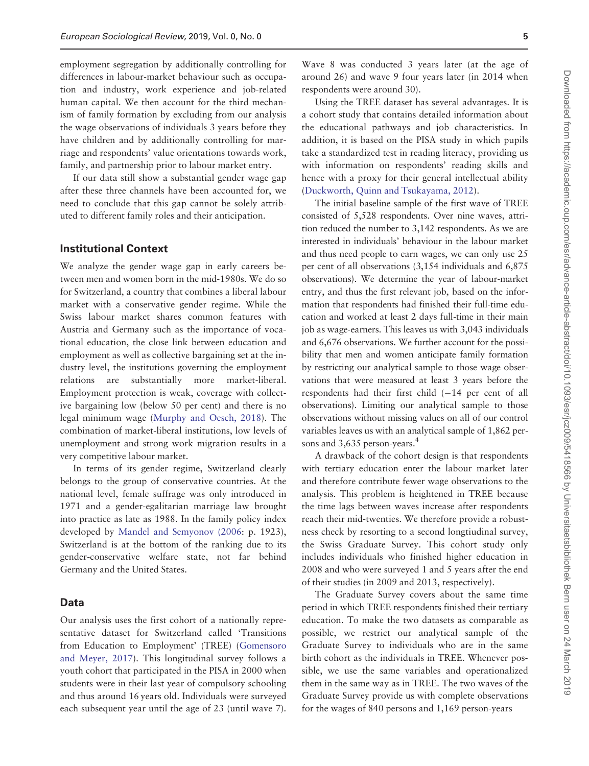employment segregation by additionally controlling for differences in labour-market behaviour such as occupation and industry, work experience and job-related human capital. We then account for the third mechanism of family formation by excluding from our analysis the wage observations of individuals 3 years before they have children and by additionally controlling for marriage and respondents' value orientations towards work, family, and partnership prior to labour market entry.

If our data still show a substantial gender wage gap after these three channels have been accounted for, we need to conclude that this gap cannot be solely attributed to different family roles and their anticipation.

# Institutional Context

We analyze the gender wage gap in early careers between men and women born in the mid-1980s. We do so for Switzerland, a country that combines a liberal labour market with a conservative gender regime. While the Swiss labour market shares common features with Austria and Germany such as the importance of vocational education, the close link between education and employment as well as collective bargaining set at the industry level, the institutions governing the employment relations are substantially more market-liberal. Employment protection is weak, coverage with collective bargaining low (below 50 per cent) and there is no legal minimum wage ([Murphy and Oesch, 2018\)](#page-12-0). The combination of market-liberal institutions, low levels of unemployment and strong work migration results in a very competitive labour market.

In terms of its gender regime, Switzerland clearly belongs to the group of conservative countries. At the national level, female suffrage was only introduced in 1971 and a gender-egalitarian marriage law brought into practice as late as 1988. In the family policy index developed by [Mandel and Semyonov \(2006:](#page-12-0) p. 1923), Switzerland is at the bottom of the ranking due to its gender-conservative welfare state, not far behind Germany and the United States.

#### Data

Our analysis uses the first cohort of a nationally representative dataset for Switzerland called 'Transitions from Education to Employment' (TREE) ([Gomensoro](#page-12-0) [and Meyer, 2017\)](#page-12-0). This longitudinal survey follows a youth cohort that participated in the PISA in 2000 when students were in their last year of compulsory schooling and thus around 16 years old. Individuals were surveyed each subsequent year until the age of 23 (until wave 7).

Wave 8 was conducted 3 years later (at the age of around 26) and wave 9 four years later (in 2014 when respondents were around 30).

Using the TREE dataset has several advantages. It is a cohort study that contains detailed information about the educational pathways and job characteristics. In addition, it is based on the PISA study in which pupils take a standardized test in reading literacy, providing us with information on respondents' reading skills and hence with a proxy for their general intellectual ability [\(Duckworth, Quinn and Tsukayama, 2012](#page-11-0)).

The initial baseline sample of the first wave of TREE consisted of 5,528 respondents. Over nine waves, attrition reduced the number to 3,142 respondents. As we are interested in individuals' behaviour in the labour market and thus need people to earn wages, we can only use 25 per cent of all observations (3,154 individuals and 6,875 observations). We determine the year of labour-market entry, and thus the first relevant job, based on the information that respondents had finished their full-time education and worked at least 2 days full-time in their main job as wage-earners. This leaves us with 3,043 individuals and 6,676 observations. We further account for the possibility that men and women anticipate family formation by restricting our analytical sample to those wage observations that were measured at least 3 years before the  $r$ espondents had their first child  $(-14$  per cent of all observations). Limiting our analytical sample to those observations without missing values on all of our control variables leaves us with an analytical sample of 1,862 persons and 3,635 person-years.<sup>4</sup>

A drawback of the cohort design is that respondents with tertiary education enter the labour market later and therefore contribute fewer wage observations to the analysis. This problem is heightened in TREE because the time lags between waves increase after respondents reach their mid-twenties. We therefore provide a robustness check by resorting to a second longtiudinal survey, the Swiss Graduate Survey. This cohort study only includes individuals who finished higher education in 2008 and who were surveyed 1 and 5 years after the end of their studies (in 2009 and 2013, respectively).

The Graduate Survey covers about the same time period in which TREE respondents finished their tertiary education. To make the two datasets as comparable as possible, we restrict our analytical sample of the Graduate Survey to individuals who are in the same birth cohort as the individuals in TREE. Whenever possible, we use the same variables and operationalized them in the same way as in TREE. The two waves of the Graduate Survey provide us with complete observations for the wages of 840 persons and 1,169 person-years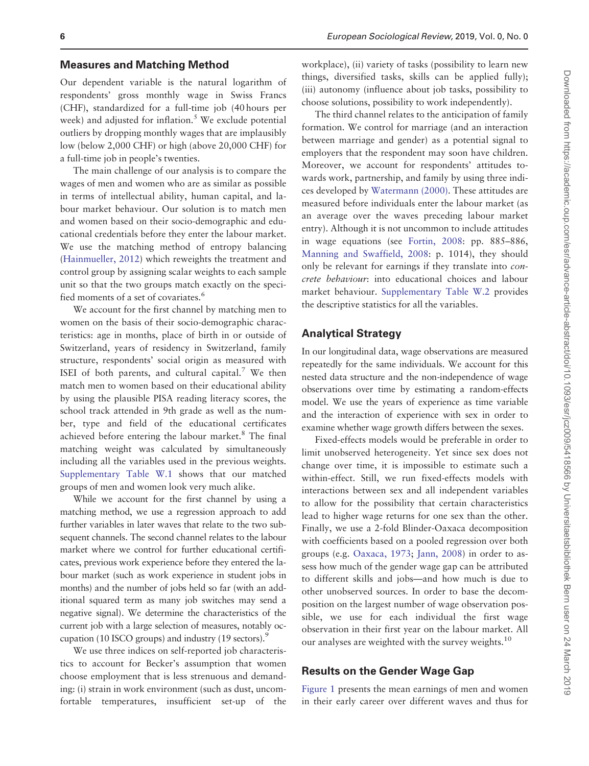#### Measures and Matching Method

Our dependent variable is the natural logarithm of respondents' gross monthly wage in Swiss Francs (CHF), standardized for a full-time job (40 hours per week) and adjusted for inflation.<sup>5</sup> We exclude potential outliers by dropping monthly wages that are implausibly low (below 2,000 CHF) or high (above 20,000 CHF) for a full-time job in people's twenties.

The main challenge of our analysis is to compare the wages of men and women who are as similar as possible in terms of intellectual ability, human capital, and labour market behaviour. Our solution is to match men and women based on their socio-demographic and educational credentials before they enter the labour market. We use the matching method of entropy balancing [\(Hainmueller, 2012](#page-12-0)) which reweights the treatment and control group by assigning scalar weights to each sample unit so that the two groups match exactly on the specified moments of a set of covariates.<sup>6</sup>

We account for the first channel by matching men to women on the basis of their socio-demographic characteristics: age in months, place of birth in or outside of Switzerland, years of residency in Switzerland, family structure, respondents' social origin as measured with ISEI of both parents, and cultural capital.<sup>7</sup> We then match men to women based on their educational ability by using the plausible PISA reading literacy scores, the school track attended in 9th grade as well as the number, type and field of the educational certificates achieved before entering the labour market.<sup>8</sup> The final matching weight was calculated by simultaneously including all the variables used in the previous weights. [Supplementary Table W.1](https://academic.oup.com/esr/article-lookup/doi/10.1093/esr/jcz009#supplementary-data) shows that our matched groups of men and women look very much alike.

While we account for the first channel by using a matching method, we use a regression approach to add further variables in later waves that relate to the two subsequent channels. The second channel relates to the labour market where we control for further educational certificates, previous work experience before they entered the labour market (such as work experience in student jobs in months) and the number of jobs held so far (with an additional squared term as many job switches may send a negative signal). We determine the characteristics of the current job with a large selection of measures, notably occupation (10 ISCO groups) and industry (19 sectors).<sup>9</sup>

We use three indices on self-reported job characteristics to account for Becker's assumption that women choose employment that is less strenuous and demanding: (i) strain in work environment (such as dust, uncomfortable temperatures, insufficient set-up of the

workplace), (ii) variety of tasks (possibility to learn new things, diversified tasks, skills can be applied fully); (iii) autonomy (influence about job tasks, possibility to choose solutions, possibility to work independently).

The third channel relates to the anticipation of family formation. We control for marriage (and an interaction between marriage and gender) as a potential signal to employers that the respondent may soon have children. Moreover, we account for respondents' attitudes towards work, partnership, and family by using three indices developed by [Watermann \(2000\).](#page-12-0) These attitudes are measured before individuals enter the labour market (as an average over the waves preceding labour market entry). Although it is not uncommon to include attitudes in wage equations (see [Fortin, 2008:](#page-11-0) pp. 885–886, [Manning and Swaffield, 2008:](#page-12-0) p. 1014), they should only be relevant for earnings if they translate into concrete behaviour: into educational choices and labour market behaviour. [Supplementary Table W.2](https://academic.oup.com/esr/article-lookup/doi/10.1093/esr/jcz009#supplementary-data) provides the descriptive statistics for all the variables.

#### Analytical Strategy

In our longitudinal data, wage observations are measured repeatedly for the same individuals. We account for this nested data structure and the non-independence of wage observations over time by estimating a random-effects model. We use the years of experience as time variable and the interaction of experience with sex in order to examine whether wage growth differs between the sexes.

Fixed-effects models would be preferable in order to limit unobserved heterogeneity. Yet since sex does not change over time, it is impossible to estimate such a within-effect. Still, we run fixed-effects models with interactions between sex and all independent variables to allow for the possibility that certain characteristics lead to higher wage returns for one sex than the other. Finally, we use a 2-fold Blinder-Oaxaca decomposition with coefficients based on a pooled regression over both groups (e.g. [Oaxaca, 1973](#page-12-0); [Jann, 2008\)](#page-12-0) in order to assess how much of the gender wage gap can be attributed to different skills and jobs—and how much is due to other unobserved sources. In order to base the decomposition on the largest number of wage observation possible, we use for each individual the first wage observation in their first year on the labour market. All our analyses are weighted with the survey weights. $10$ 

## Results on the Gender Wage Gap

[Figure 1](#page-6-0) presents the mean earnings of men and women in their early career over different waves and thus for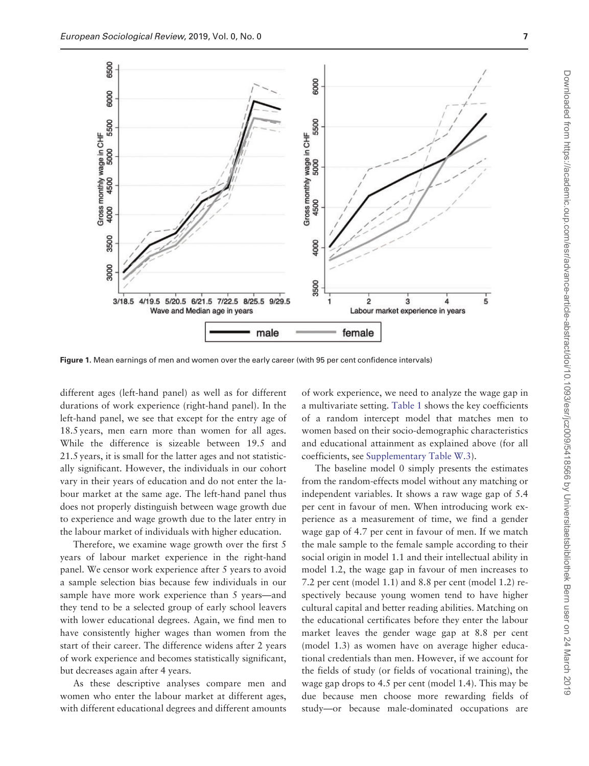<span id="page-6-0"></span>

Figure 1. Mean earnings of men and women over the early career (with 95 per cent confidence intervals)

different ages (left-hand panel) as well as for different durations of work experience (right-hand panel). In the left-hand panel, we see that except for the entry age of 18.5 years, men earn more than women for all ages. While the difference is sizeable between 19.5 and 21.5 years, it is small for the latter ages and not statistically significant. However, the individuals in our cohort vary in their years of education and do not enter the labour market at the same age. The left-hand panel thus does not properly distinguish between wage growth due to experience and wage growth due to the later entry in the labour market of individuals with higher education.

Therefore, we examine wage growth over the first 5 years of labour market experience in the right-hand panel. We censor work experience after 5 years to avoid a sample selection bias because few individuals in our sample have more work experience than 5 years—and they tend to be a selected group of early school leavers with lower educational degrees. Again, we find men to have consistently higher wages than women from the start of their career. The difference widens after 2 years of work experience and becomes statistically significant, but decreases again after 4 years.

As these descriptive analyses compare men and women who enter the labour market at different ages, with different educational degrees and different amounts

of work experience, we need to analyze the wage gap in a multivariate setting. [Table 1](#page-7-0) shows the key coefficients of a random intercept model that matches men to women based on their socio-demographic characteristics and educational attainment as explained above (for all coefficients, see [Supplementary Table W.3\)](https://academic.oup.com/esr/article-lookup/doi/10.1093/esr/jcz009#supplementary-data).

The baseline model 0 simply presents the estimates from the random-effects model without any matching or independent variables. It shows a raw wage gap of 5.4 per cent in favour of men. When introducing work experience as a measurement of time, we find a gender wage gap of 4.7 per cent in favour of men. If we match the male sample to the female sample according to their social origin in model 1.1 and their intellectual ability in model 1.2, the wage gap in favour of men increases to 7.2 per cent (model 1.1) and 8.8 per cent (model 1.2) respectively because young women tend to have higher cultural capital and better reading abilities. Matching on the educational certificates before they enter the labour market leaves the gender wage gap at 8.8 per cent (model 1.3) as women have on average higher educational credentials than men. However, if we account for the fields of study (or fields of vocational training), the wage gap drops to 4.5 per cent (model 1.4). This may be due because men choose more rewarding fields of study—or because male-dominated occupations are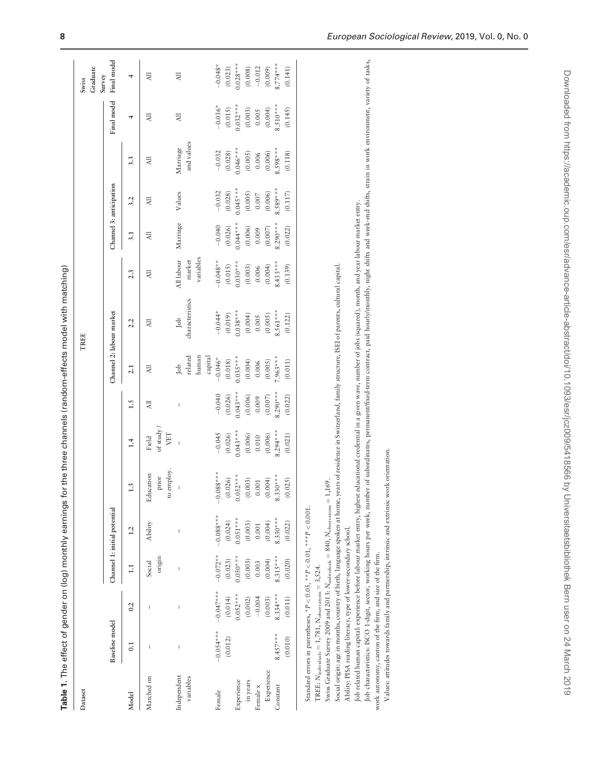<span id="page-7-0"></span>

|                                                          |                                                                                                                                                                                                 |                        |                       | Table 1. The effect of gender on (log) monthly earnings for the three channels (random-effects model with matching) |                                                                                             |                            |                     |                                 |                                                                                                                                                                                                                                                                                                                                                                                                                                                                                                                                                                                        |                                   |                     |                         |                        |                      |                             |
|----------------------------------------------------------|-------------------------------------------------------------------------------------------------------------------------------------------------------------------------------------------------|------------------------|-----------------------|---------------------------------------------------------------------------------------------------------------------|---------------------------------------------------------------------------------------------|----------------------------|---------------------|---------------------------------|----------------------------------------------------------------------------------------------------------------------------------------------------------------------------------------------------------------------------------------------------------------------------------------------------------------------------------------------------------------------------------------------------------------------------------------------------------------------------------------------------------------------------------------------------------------------------------------|-----------------------------------|---------------------|-------------------------|------------------------|----------------------|-----------------------------|
| Dataset                                                  |                                                                                                                                                                                                 |                        |                       |                                                                                                                     |                                                                                             |                            |                     |                                 | TREE                                                                                                                                                                                                                                                                                                                                                                                                                                                                                                                                                                                   |                                   |                     |                         |                        |                      | Graduate<br>Survey<br>Swiss |
|                                                          | Baseline model                                                                                                                                                                                  |                        |                       | Chamel 1: initial potential                                                                                         |                                                                                             |                            |                     | Channel 2: labour market        |                                                                                                                                                                                                                                                                                                                                                                                                                                                                                                                                                                                        |                                   |                     | Channel 3: anticipation |                        | Final model          | Final model                 |
| Model                                                    | 0.1                                                                                                                                                                                             | 0.2                    | $\Xi$                 | 1.2                                                                                                                 | 1.3                                                                                         | 1.4                        | 1.5                 | 2.1                             | 2.2                                                                                                                                                                                                                                                                                                                                                                                                                                                                                                                                                                                    | 2.3                               | 3.1                 | 3.2                     | 3.3                    | $\overline{}$        | 4                           |
| Matched on                                               | J.                                                                                                                                                                                              | f,                     | origin<br>Social      | Ability                                                                                                             | to employ.<br>Education<br>prior                                                            | of study /<br>VET<br>Field | ₹                   | $\equiv$                        | $\equiv$                                                                                                                                                                                                                                                                                                                                                                                                                                                                                                                                                                               | $\equiv$                          | $\overline{AB}$     | $\overline{a}$          | ₹                      | $\overline{AB}$      | $\equiv$                    |
| Independent<br>variables                                 | I                                                                                                                                                                                               | Ï                      | I                     | I                                                                                                                   |                                                                                             | $\overline{1}$             | I                   | related<br>human<br>Job         | characteristics<br>$_{\rm{Job}}$                                                                                                                                                                                                                                                                                                                                                                                                                                                                                                                                                       | variables<br>All labour<br>market | Marriage            | Values                  | and values<br>Marriage | $\overline{AB}$      | $\overline{a}$              |
| Female                                                   | $-0.054***$<br>(0.012)                                                                                                                                                                          | $-0.047***$<br>(0.014) | $-0.072**$<br>(0.023) | $-0.088***$<br>(0.024)                                                                                              | $-0.088***$<br>(0.026)                                                                      | $-0.045$<br>(0.026)        | $-0.040$<br>(0.026) | capital<br>$-0.046*$<br>(0.018) | $-0.044*$<br>(0.019)                                                                                                                                                                                                                                                                                                                                                                                                                                                                                                                                                                   | $0.048**$<br>(0.015)              | $-0.040$<br>(0.026) | $-0.032$<br>(0.028)     | $-0.032$<br>(0.028)    | $-0.036*$<br>(0.015) | $-0.048*$<br>(0.023)        |
| Experience                                               |                                                                                                                                                                                                 | $0.052***$             | $0.050***$            | $0.051***$                                                                                                          | $0.052***$                                                                                  | $0.043***$                 | $0.043***$          | $0.035***$                      | $0.038***$                                                                                                                                                                                                                                                                                                                                                                                                                                                                                                                                                                             | $0.030***$                        | $0.044***$          | $0.045***$              | $0.046***$             | $0.032***$           | $0.028***$                  |
| in years                                                 |                                                                                                                                                                                                 | (0.002)<br>$-0.004$    | (0.003)<br>0.003      | (0.003)<br>0.001                                                                                                    | (0.003)                                                                                     | (0.006)<br>0.010           | (0.006)             | (0.004)<br>0.006                | (0.004)                                                                                                                                                                                                                                                                                                                                                                                                                                                                                                                                                                                | (0.003)                           | (0.006)<br>0.009    | (0.005)                 | (0.005)                | (0.003)<br>0.005     | (0.008)                     |
| Experience<br>Female x                                   |                                                                                                                                                                                                 | (0.003)                | (0.004)               | (0.004)                                                                                                             | (0.004)<br>0.001                                                                            | (0.006)                    | (0.007)<br>0.009    | (0.005)                         | (0.005)<br>0.005                                                                                                                                                                                                                                                                                                                                                                                                                                                                                                                                                                       | (0.004)<br>0.006                  | (0.007)             | (0.006)<br>$0.007$      | (0.006)<br>0.006       | (0.004)              | $-0.012$<br>(0.009)         |
| Constant                                                 | $8.457***$                                                                                                                                                                                      | $8.334***$             | $8.315***$            | $8.330***$                                                                                                          | $8.330***$                                                                                  | $8.294***$                 | $8.290***$          | $7.963***$                      | 8.561***                                                                                                                                                                                                                                                                                                                                                                                                                                                                                                                                                                               | $3.433***$                        | $8.290***$          | $8.589***$              | $8.598***$             | $8.510***$           | $8.774***$                  |
|                                                          | (0.010)                                                                                                                                                                                         | (0.011)                | (0.020)               | (0.022)                                                                                                             | (0.025)                                                                                     | (0.021)                    | (0.022)             | (0.011)                         | (0.122)                                                                                                                                                                                                                                                                                                                                                                                                                                                                                                                                                                                | (0.139)                           | (0.022)             | (0.117)                 | (0.118)                | (0.145)              | (0.141)                     |
| work autonomy, canton of the firm, and size of the firm. | Ability: PISA reading literacy, type of lower-secondary school.<br>Standard errors in parentheses, $*P < 0.05$ , $* * P < 0.01$ ,<br>TREE: $N_{individuals} = 1,781, N_{observations} = 3,524.$ |                        |                       | Swiss Graduate Survey 2009 and 2013: Nindividuals = 840, Nobservations = $1,169$ .<br>*** $P < 0.001$ .             | Values: attitudes towards family and partnership, intrinsic and extrinsic work orientation. |                            |                     |                                 | Job characteristics: ISCO 1-digit, sector, working hours per week, number of subordinates, permanent/fixed-term contract, paid hourly/monthly, night shifts and week-end shifts, strain in work environment, variety of tasks,<br>Job related human capital: experience before labour market entry, highest educational credential in a given wave, number of jobs (squared), month, and year labour market entry.<br>Social origin: age in months, country of birth, language spoken at home, years of residence in Switzerland, family structure, ISEI of parents, cultural capital. |                                   |                     |                         |                        |                      |                             |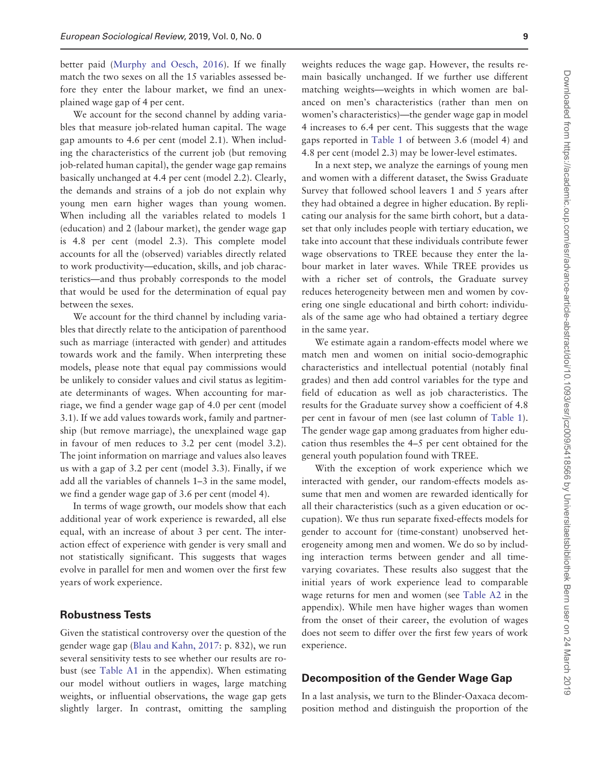better paid [\(Murphy and Oesch, 2016](#page-12-0)). If we finally match the two sexes on all the 15 variables assessed before they enter the labour market, we find an unexplained wage gap of 4 per cent.

We account for the second channel by adding variables that measure job-related human capital. The wage gap amounts to 4.6 per cent (model 2.1). When including the characteristics of the current job (but removing job-related human capital), the gender wage gap remains basically unchanged at 4.4 per cent (model 2.2). Clearly, the demands and strains of a job do not explain why young men earn higher wages than young women. When including all the variables related to models 1 (education) and 2 (labour market), the gender wage gap is 4.8 per cent (model 2.3). This complete model accounts for all the (observed) variables directly related to work productivity—education, skills, and job characteristics—and thus probably corresponds to the model that would be used for the determination of equal pay between the sexes.

We account for the third channel by including variables that directly relate to the anticipation of parenthood such as marriage (interacted with gender) and attitudes towards work and the family. When interpreting these models, please note that equal pay commissions would be unlikely to consider values and civil status as legitimate determinants of wages. When accounting for marriage, we find a gender wage gap of 4.0 per cent (model 3.1). If we add values towards work, family and partnership (but remove marriage), the unexplained wage gap in favour of men reduces to 3.2 per cent (model 3.2). The joint information on marriage and values also leaves us with a gap of 3.2 per cent (model 3.3). Finally, if we add all the variables of channels 1–3 in the same model, we find a gender wage gap of 3.6 per cent (model 4).

In terms of wage growth, our models show that each additional year of work experience is rewarded, all else equal, with an increase of about 3 per cent. The interaction effect of experience with gender is very small and not statistically significant. This suggests that wages evolve in parallel for men and women over the first few years of work experience.

# Robustness Tests

Given the statistical controversy over the question of the gender wage gap [\(Blau and Kahn, 2017](#page-11-0): p. 832), we run several sensitivity tests to see whether our results are robust (see [Table A1](#page-13-0) in the appendix). When estimating our model without outliers in wages, large matching weights, or influential observations, the wage gap gets slightly larger. In contrast, omitting the sampling

weights reduces the wage gap. However, the results remain basically unchanged. If we further use different matching weights—weights in which women are balanced on men's characteristics (rather than men on women's characteristics)—the gender wage gap in model 4 increases to 6.4 per cent. This suggests that the wage gaps reported in [Table 1](#page-7-0) of between 3.6 (model 4) and 4.8 per cent (model 2.3) may be lower-level estimates.

In a next step, we analyze the earnings of young men and women with a different dataset, the Swiss Graduate Survey that followed school leavers 1 and 5 years after they had obtained a degree in higher education. By replicating our analysis for the same birth cohort, but a dataset that only includes people with tertiary education, we take into account that these individuals contribute fewer wage observations to TREE because they enter the labour market in later waves. While TREE provides us with a richer set of controls, the Graduate survey reduces heterogeneity between men and women by covering one single educational and birth cohort: individuals of the same age who had obtained a tertiary degree in the same year.

We estimate again a random-effects model where we match men and women on initial socio-demographic characteristics and intellectual potential (notably final grades) and then add control variables for the type and field of education as well as job characteristics. The results for the Graduate survey show a coefficient of 4.8 per cent in favour of men (see last column of [Table 1](#page-7-0)). The gender wage gap among graduates from higher education thus resembles the 4–5 per cent obtained for the general youth population found with TREE.

With the exception of work experience which we interacted with gender, our random-effects models assume that men and women are rewarded identically for all their characteristics (such as a given education or occupation). We thus run separate fixed-effects models for gender to account for (time-constant) unobserved heterogeneity among men and women. We do so by including interaction terms between gender and all timevarying covariates. These results also suggest that the initial years of work experience lead to comparable wage returns for men and women (see [Table A2](#page-13-0) in the appendix). While men have higher wages than women from the onset of their career, the evolution of wages does not seem to differ over the first few years of work experience.

# Decomposition of the Gender Wage Gap

In a last analysis, we turn to the Blinder-Oaxaca decomposition method and distinguish the proportion of the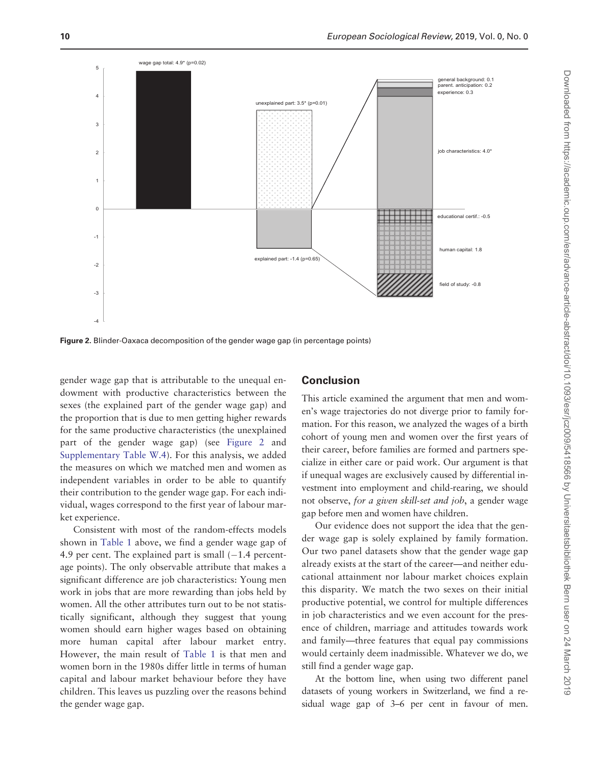

Figure 2. Blinder-Oaxaca decomposition of the gender wage gap (in percentage points)

gender wage gap that is attributable to the unequal endowment with productive characteristics between the sexes (the explained part of the gender wage gap) and the proportion that is due to men getting higher rewards for the same productive characteristics (the unexplained part of the gender wage gap) (see Figure 2 and [Supplementary Table W.4](https://academic.oup.com/esr/article-lookup/doi/10.1093/esr/jcz009#supplementary-data)). For this analysis, we added the measures on which we matched men and women as independent variables in order to be able to quantify their contribution to the gender wage gap. For each individual, wages correspond to the first year of labour market experience.

Consistent with most of the random-effects models shown in [Table 1](#page-7-0) above, we find a gender wage gap of 4.9 per cent. The explained part is small  $(-1.4$  percentage points). The only observable attribute that makes a significant difference are job characteristics: Young men work in jobs that are more rewarding than jobs held by women. All the other attributes turn out to be not statistically significant, although they suggest that young women should earn higher wages based on obtaining more human capital after labour market entry. However, the main result of [Table 1](#page-7-0) is that men and women born in the 1980s differ little in terms of human capital and labour market behaviour before they have children. This leaves us puzzling over the reasons behind the gender wage gap.

# Conclusion

This article examined the argument that men and women's wage trajectories do not diverge prior to family formation. For this reason, we analyzed the wages of a birth cohort of young men and women over the first years of their career, before families are formed and partners specialize in either care or paid work. Our argument is that if unequal wages are exclusively caused by differential investment into employment and child-rearing, we should not observe, for a given skill-set and job, a gender wage gap before men and women have children.

Our evidence does not support the idea that the gender wage gap is solely explained by family formation. Our two panel datasets show that the gender wage gap already exists at the start of the career—and neither educational attainment nor labour market choices explain this disparity. We match the two sexes on their initial productive potential, we control for multiple differences in job characteristics and we even account for the presence of children, marriage and attitudes towards work and family—three features that equal pay commissions would certainly deem inadmissible. Whatever we do, we still find a gender wage gap.

At the bottom line, when using two different panel datasets of young workers in Switzerland, we find a residual wage gap of 3–6 per cent in favour of men. Downloaded from https://academic.oup.com/esr/advance-article-abstract/doi/10.1093/esr/jcz009/5418566 by Universitaetsbibliothek Bern user on 24 March 2019 Downloaded from https://academic.oup.com/esr/advance-article-abstract/doi/10.1093/esr/jcz009/5418566 by Universitaetsbibliothek Bern user on 24 March 2019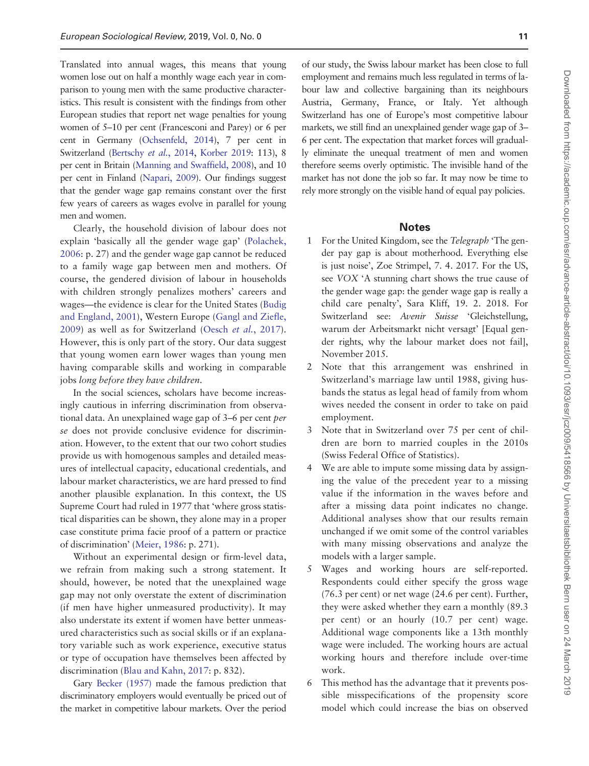Translated into annual wages, this means that young women lose out on half a monthly wage each year in comparison to young men with the same productive characteristics. This result is consistent with the findings from other European studies that report net wage penalties for young women of 5–10 per cent (Francesconi and Parey) or 6 per cent in Germany [\(Ochsenfeld, 2014](#page-12-0)), 7 per cent in Switzerland ([Bertschy](#page-11-0) et al., 2014, [Korber 2019](#page-12-0): 113), 8 per cent in Britain [\(Manning and Swaffield, 2008](#page-12-0)), and 10 per cent in Finland ([Napari, 2009](#page-12-0)). Our findings suggest that the gender wage gap remains constant over the first few years of careers as wages evolve in parallel for young men and women.

Clearly, the household division of labour does not explain 'basically all the gender wage gap' [\(Polachek,](#page-12-0) [2006](#page-12-0): p. 27) and the gender wage gap cannot be reduced to a family wage gap between men and mothers. Of course, the gendered division of labour in households with children strongly penalizes mothers' careers and wages—the evidence is clear for the United States [\(Budig](#page-11-0) [and England, 2001](#page-11-0)), Western Europe [\(Gangl and Ziefle,](#page-11-0) [2009](#page-11-0)) as well as for Switzerland (Oesch et al.[, 2017](#page-12-0)). However, this is only part of the story. Our data suggest that young women earn lower wages than young men having comparable skills and working in comparable jobs long before they have children.

In the social sciences, scholars have become increasingly cautious in inferring discrimination from observational data. An unexplained wage gap of 3–6 per cent per se does not provide conclusive evidence for discrimination. However, to the extent that our two cohort studies provide us with homogenous samples and detailed measures of intellectual capacity, educational credentials, and labour market characteristics, we are hard pressed to find another plausible explanation. In this context, the US Supreme Court had ruled in 1977 that 'where gross statistical disparities can be shown, they alone may in a proper case constitute prima facie proof of a pattern or practice of discrimination' [\(Meier, 1986](#page-12-0): p. 271).

Without an experimental design or firm-level data, we refrain from making such a strong statement. It should, however, be noted that the unexplained wage gap may not only overstate the extent of discrimination (if men have higher unmeasured productivity). It may also understate its extent if women have better unmeasured characteristics such as social skills or if an explanatory variable such as work experience, executive status or type of occupation have themselves been affected by discrimination [\(Blau and Kahn, 2017:](#page-11-0) p. 832).

Gary [Becker \(1957\)](#page-11-0) made the famous prediction that discriminatory employers would eventually be priced out of the market in competitive labour markets. Over the period of our study, the Swiss labour market has been close to full employment and remains much less regulated in terms of labour law and collective bargaining than its neighbours Austria, Germany, France, or Italy. Yet although Switzerland has one of Europe's most competitive labour markets, we still find an unexplained gender wage gap of 3– 6 per cent. The expectation that market forces will gradually eliminate the unequal treatment of men and women therefore seems overly optimistic. The invisible hand of the market has not done the job so far. It may now be time to rely more strongly on the visible hand of equal pay policies.

#### **Notes**

- 1 For the United Kingdom, see the Telegraph 'The gender pay gap is about motherhood. Everything else is just noise', Zoe Strimpel, 7. 4. 2017. For the US, see VOX 'A stunning chart shows the true cause of the gender wage gap: the gender wage gap is really a child care penalty', Sara Kliff, 19. 2. 2018. For Switzerland see: Avenir Suisse 'Gleichstellung, warum der Arbeitsmarkt nicht versagt' [Equal gender rights, why the labour market does not fail], November 2015.
- 2 Note that this arrangement was enshrined in Switzerland's marriage law until 1988, giving husbands the status as legal head of family from whom wives needed the consent in order to take on paid employment.
- 3 Note that in Switzerland over 75 per cent of children are born to married couples in the 2010s (Swiss Federal Office of Statistics).
- 4 We are able to impute some missing data by assigning the value of the precedent year to a missing value if the information in the waves before and after a missing data point indicates no change. Additional analyses show that our results remain unchanged if we omit some of the control variables with many missing observations and analyze the models with a larger sample.
- 5 Wages and working hours are self-reported. Respondents could either specify the gross wage (76.3 per cent) or net wage (24.6 per cent). Further, they were asked whether they earn a monthly (89.3 per cent) or an hourly (10.7 per cent) wage. Additional wage components like a 13th monthly wage were included. The working hours are actual working hours and therefore include over-time work.
- 6 This method has the advantage that it prevents possible misspecifications of the propensity score model which could increase the bias on observed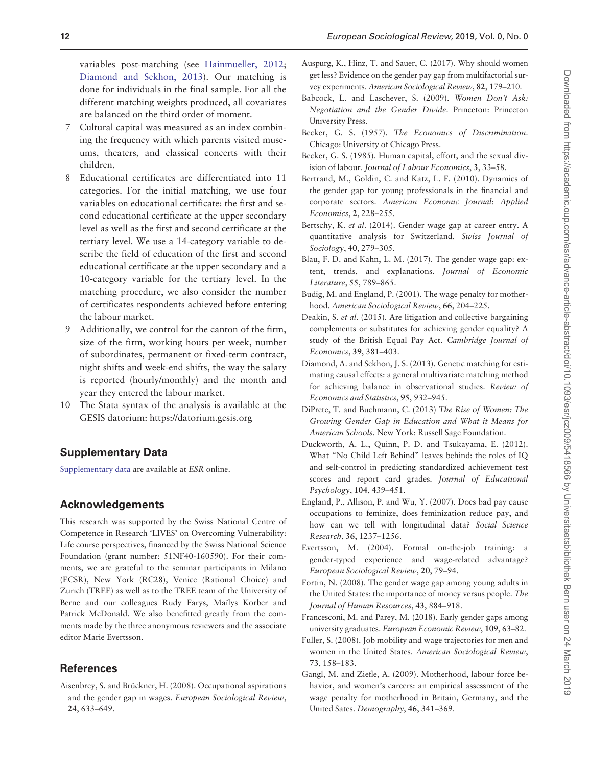<span id="page-11-0"></span>variables post-matching (see [Hainmueller, 2012](#page-12-0); Diamond and Sekhon, 2013). Our matching is done for individuals in the final sample. For all the different matching weights produced, all covariates are balanced on the third order of moment.

- 7 Cultural capital was measured as an index combining the frequency with which parents visited museums, theaters, and classical concerts with their children.
- 8 Educational certificates are differentiated into 11 categories. For the initial matching, we use four variables on educational certificate: the first and second educational certificate at the upper secondary level as well as the first and second certificate at the tertiary level. We use a 14-category variable to describe the field of education of the first and second educational certificate at the upper secondary and a 10-category variable for the tertiary level. In the matching procedure, we also consider the number of certificates respondents achieved before entering the labour market.
- 9 Additionally, we control for the canton of the firm, size of the firm, working hours per week, number of subordinates, permanent or fixed-term contract, night shifts and week-end shifts, the way the salary is reported (hourly/monthly) and the month and year they entered the labour market.
- 10 The Stata syntax of the analysis is available at the GESIS datorium:<https://datorium.gesis.org>

# Supplementary Data

[Supplementary data](https://academic.oup.com/esr/article-lookup/doi/10.1093/esr/jcz009#supplementary-data) are available at ESR online.

#### Acknowledgements

This research was supported by the Swiss National Centre of Competence in Research 'LIVES' on Overcoming Vulnerability: Life course perspectives, financed by the Swiss National Science Foundation (grant number: 51NF40-160590). For their comments, we are grateful to the seminar participants in Milano (ECSR), New York (RC28), Venice (Rational Choice) and Zurich (TREE) as well as to the TREE team of the University of Berne and our colleagues Rudy Farys, Maïlys Korber and Patrick McDonald. We also benefitted greatly from the comments made by the three anonymous reviewers and the associate editor Marie Evertsson.

### References

Aisenbrey, S. and Brückner, H. (2008). Occupational aspirations and the gender gap in wages. European Sociological Review, 24, 633–649.

- Auspurg, K., Hinz, T. and Sauer, C. (2017). Why should women get less? Evidence on the gender pay gap from multifactorial survey experiments. American Sociological Review, 82, 179–210.
- Babcock, L. and Laschever, S. (2009). Women Don't Ask: Negotiation and the Gender Divide. Princeton: Princeton University Press.
- Becker, G. S. (1957). The Economics of Discrimination. Chicago: University of Chicago Press.
- Becker, G. S. (1985). Human capital, effort, and the sexual division of labour. Journal of Labour Economics, 3, 33–58.
- Bertrand, M., Goldin, C. and Katz, L. F. (2010). Dynamics of the gender gap for young professionals in the financial and corporate sectors. American Economic Journal: Applied Economics, 2, 228–255.
- Bertschy, K. et al. (2014). Gender wage gap at career entry. A quantitative analysis for Switzerland. Swiss Journal of Sociology, 40, 279–305.
- Blau, F. D. and Kahn, L. M. (2017). The gender wage gap: extent, trends, and explanations. Journal of Economic Literature, 55, 789–865.
- Budig, M. and England, P. (2001). The wage penalty for motherhood. American Sociological Review, 66, 204–225.
- Deakin, S. et al. (2015). Are litigation and collective bargaining complements or substitutes for achieving gender equality? A study of the British Equal Pay Act. Cambridge Journal of Economics, 39, 381–403.
- Diamond, A. and Sekhon, J. S. (2013). Genetic matching for estimating causal effects: a general multivariate matching method for achieving balance in observational studies. Review of Economics and Statistics, 95, 932–945.
- DiPrete, T. and Buchmann, C. (2013) The Rise of Women: The Growing Gender Gap in Education and What it Means for American Schools. New York: Russell Sage Foundation.
- Duckworth, A. L., Quinn, P. D. and Tsukayama, E. (2012). What "No Child Left Behind" leaves behind: the roles of IQ and self-control in predicting standardized achievement test scores and report card grades. Journal of Educational Psychology, 104, 439–451.
- England, P., Allison, P. and Wu, Y. (2007). Does bad pay cause occupations to feminize, does feminization reduce pay, and how can we tell with longitudinal data? Social Science Research, 36, 1237–1256.
- Evertsson, M. (2004). Formal on-the-job training: a gender-typed experience and wage-related advantage? European Sociological Review, 20, 79–94.
- Fortin, N. (2008). The gender wage gap among young adults in the United States: the importance of money versus people. The Journal of Human Resources, 43, 884–918.
- Francesconi, M. and Parey, M. (2018). Early gender gaps among university graduates. European Economic Review, 109, 63–82.
- Fuller, S. (2008). Job mobility and wage trajectories for men and women in the United States. American Sociological Review, 73, 158–183.
- Gangl, M. and Ziefle, A. (2009). Motherhood, labour force behavior, and women's careers: an empirical assessment of the wage penalty for motherhood in Britain, Germany, and the United Sates. Demography, 46, 341–369.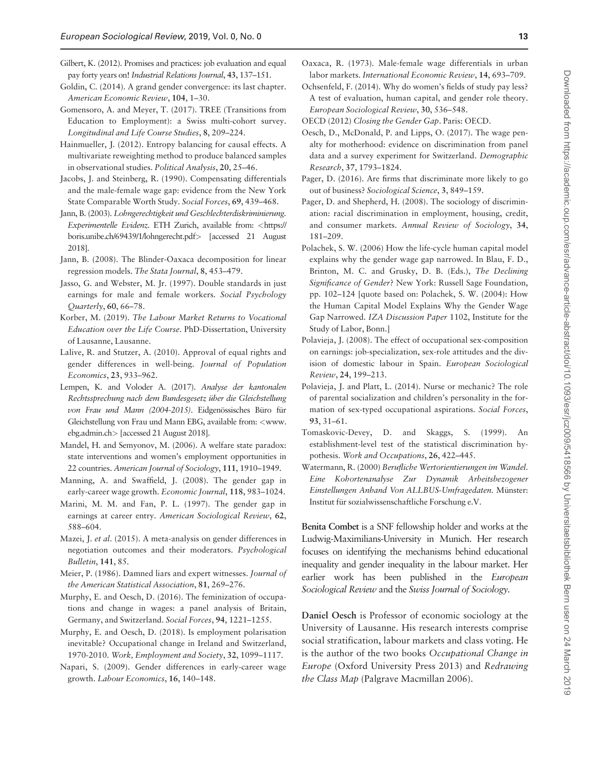- <span id="page-12-0"></span>Gilbert, K. (2012). Promises and practices: job evaluation and equal pay forty years on! Industrial Relations Journal, 43, 137-151.
- Goldin, C. (2014). A grand gender convergence: its last chapter. American Economic Review, 104, 1–30.
- Gomensoro, A. and Meyer, T. (2017). TREE (Transitions from Education to Employment): a Swiss multi-cohort survey. Longitudinal and Life Course Studies, 8, 209–224.
- Hainmueller, J. (2012). Entropy balancing for causal effects. A multivariate reweighting method to produce balanced samples in observational studies. Political Analysis, 20, 25–46.
- Jacobs, J. and Steinberg, R. (1990). Compensating differentials and the male-female wage gap: evidence from the New York State Comparable Worth Study. Social Forces, 69, 439–468.
- Jann, B. (2003). Lohngerechtigkeit und Geschlechterdiskriminierung. Experimentelle Evidenz. ETH Zurich, available from: <[https://](https://boris.unibe.ch/69439/1/lohngerecht.pdf) [boris.unibe.ch/69439/1/lohngerecht.pdf](https://boris.unibe.ch/69439/1/lohngerecht.pdf)> [accessed 21 August 2018].
- Jann, B. (2008). The Blinder-Oaxaca decomposition for linear regression models. The Stata Journal, 8, 453–479.
- Jasso, G. and Webster, M. Jr. (1997). Double standards in just earnings for male and female workers. Social Psychology Quarterly, 60, 66–78.
- Korber, M. (2019). The Labour Market Returns to Vocational Education over the Life Course. PhD-Dissertation, University of Lausanne, Lausanne.
- Lalive, R. and Stutzer, A. (2010). Approval of equal rights and gender differences in well-being. Journal of Population Economics, 23, 933–962.
- Lempen, K. and Voloder A. (2017). Analyse der kantonalen Rechtssprechung nach dem Bundesgesetz über die Gleichstellung von Frau und Mann (2004-2015). Eidgenössisches Büro für Gleichstellung von Frau und Mann EBG, available from: <[www.](http://www.ebg.admin.ch) [ebg.admin.ch](http://www.ebg.admin.ch)> [accessed 21 August 2018].
- Mandel, H. and Semyonov, M. (2006). A welfare state paradox: state interventions and women's employment opportunities in 22 countries. American Journal of Sociology, 111, 1910–1949.
- Manning, A. and Swaffield, J. (2008). The gender gap in early-career wage growth. Economic Journal, 118, 983–1024.
- Marini, M. M. and Fan, P. L. (1997). The gender gap in earnings at career entry. American Sociological Review, 62, 588–604.
- Mazei, J. et al. (2015). A meta-analysis on gender differences in negotiation outcomes and their moderators. Psychological Bulletin, 141, 85.
- Meier, P. (1986). Damned liars and expert witnesses. Journal of the American Statistical Association, 81, 269–276.
- Murphy, E. and Oesch, D. (2016). The feminization of occupations and change in wages: a panel analysis of Britain, Germany, and Switzerland. Social Forces, 94, 1221–1255.
- Murphy, E. and Oesch, D. (2018). Is employment polarisation inevitable? Occupational change in Ireland and Switzerland, 1970-2010. Work, Employment and Society, 32, 1099–1117.
- Napari, S. (2009). Gender differences in early-career wage growth. Labour Economics, 16, 140–148.
- Oaxaca, R. (1973). Male-female wage differentials in urban labor markets. International Economic Review, 14, 693–709.
- Ochsenfeld, F. (2014). Why do women's fields of study pay less? A test of evaluation, human capital, and gender role theory. European Sociological Review, 30, 536–548.
- OECD (2012) Closing the Gender Gap. Paris: OECD.
- Oesch, D., McDonald, P. and Lipps, O. (2017). The wage penalty for motherhood: evidence on discrimination from panel data and a survey experiment for Switzerland. Demographic Research, 37, 1793–1824.
- Pager, D. (2016). Are firms that discriminate more likely to go out of business? Sociological Science, 3, 849–159.
- Pager, D. and Shepherd, H. (2008). The sociology of discrimination: racial discrimination in employment, housing, credit, and consumer markets. Annual Review of Sociology, 34, 181–209.
- Polachek, S. W. (2006) How the life-cycle human capital model explains why the gender wage gap narrowed. In Blau, F. D., Brinton, M. C. and Grusky, D. B. (Eds.), The Declining Significance of Gender? New York: Russell Sage Foundation, pp. 102–124 [quote based on: Polachek, S. W. (2004): How the Human Capital Model Explains Why the Gender Wage Gap Narrowed. IZA Discussion Paper 1102, Institute for the Study of Labor, Bonn.]
- Polavieja, J. (2008). The effect of occupational sex-composition on earnings: job-specialization, sex-role attitudes and the division of domestic labour in Spain. European Sociological Review, 24, 199–213.
- Polavieja, J. and Platt, L. (2014). Nurse or mechanic? The role of parental socialization and children's personality in the formation of sex-typed occupational aspirations. Social Forces, 93, 31–61.
- Tomaskovic-Devey, D. and Skaggs, S. (1999). An establishment-level test of the statistical discrimination hypothesis. Work and Occupations, 26, 422–445.
- Watermann, R. (2000) Berufliche Wertorientierungen im Wandel. Eine Kohortenanalyse Zur Dynamik Arbeitsbezogener Einstellungen Anhand Von ALLBUS-Umfragedaten. Münster: Institut für sozialwissenschaftliche Forschung e.V.

Benita Combet is a SNF fellowship holder and works at the Ludwig-Maximilians-University in Munich. Her research focuses on identifying the mechanisms behind educational inequality and gender inequality in the labour market. Her earlier work has been published in the European Sociological Review and the Swiss Journal of Sociology.

Daniel Oesch is Professor of economic sociology at the University of Lausanne. His research interests comprise social stratification, labour markets and class voting. He is the author of the two books Occupational Change in Europe (Oxford University Press 2013) and Redrawing the Class Map (Palgrave Macmillan 2006).